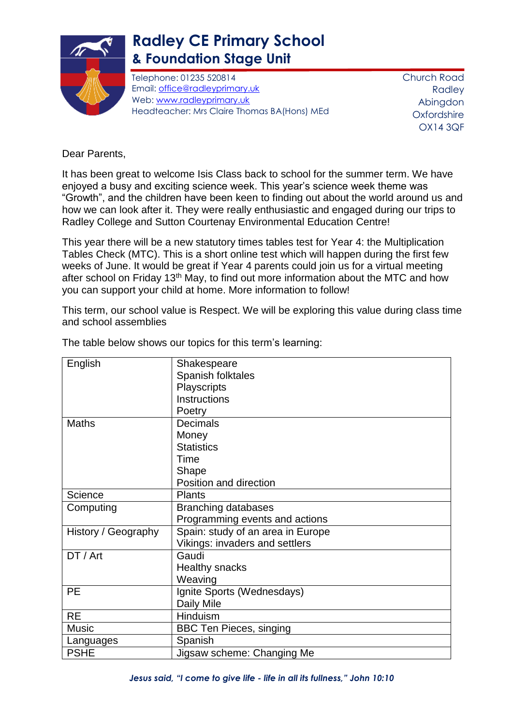

## **Radley CE Primary School & Foundation Stage Unit**

Telephone: 01235 520814 Email: [office@radleyprimary.uk](mailto:office@radleyprimary.uk) Web: [www.radleyprimary.uk](http://www.radleyprimary.uk/) Headteacher: Mrs Claire Thomas BA(Hons) MEd Church Road Radley Abingdon **Oxfordshire** OX14 3QF

Dear Parents,

It has been great to welcome Isis Class back to school for the summer term. We have enjoyed a busy and exciting science week. This year's science week theme was "Growth", and the children have been keen to finding out about the world around us and how we can look after it. They were really enthusiastic and engaged during our trips to Radley College and Sutton Courtenay Environmental Education Centre!

This year there will be a new statutory times tables test for Year 4: the Multiplication Tables Check (MTC). This is a short online test which will happen during the first few weeks of June. It would be great if Year 4 parents could join us for a virtual meeting after school on Friday 13th May, to find out more information about the MTC and how you can support your child at home. More information to follow!

This term, our school value is Respect. We will be exploring this value during class time and school assemblies

| English             | Shakespeare                       |
|---------------------|-----------------------------------|
|                     | Spanish folktales                 |
|                     | Playscripts                       |
|                     | Instructions                      |
|                     | Poetry                            |
| <b>Maths</b>        | <b>Decimals</b>                   |
|                     | Money                             |
|                     | <b>Statistics</b>                 |
|                     | Time                              |
|                     | Shape                             |
|                     | Position and direction            |
| Science             | <b>Plants</b>                     |
| Computing           | <b>Branching databases</b>        |
|                     | Programming events and actions    |
| History / Geography | Spain: study of an area in Europe |
|                     | Vikings: invaders and settlers    |
| DT / Art            | Gaudi                             |
|                     | <b>Healthy snacks</b>             |
|                     | Weaving                           |
| <b>PE</b>           | Ignite Sports (Wednesdays)        |
|                     | Daily Mile                        |
| <b>RE</b>           | Hinduism                          |
| <b>Music</b>        | <b>BBC Ten Pieces, singing</b>    |
| Languages           | Spanish                           |
| <b>PSHE</b>         | Jigsaw scheme: Changing Me        |

The table below shows our topics for this term's learning: